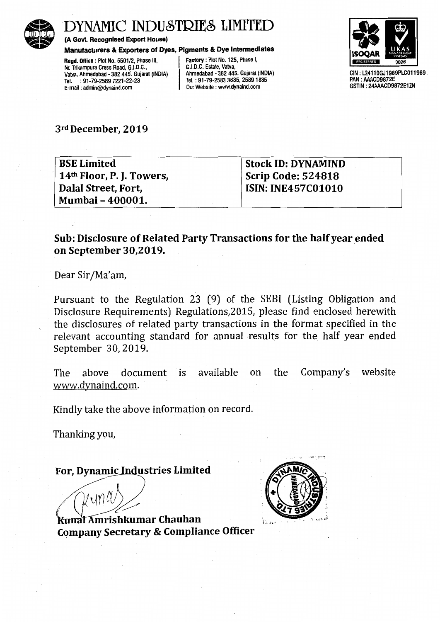

# YNAMIC INDUSTRIES LIMITED

(A Govt. Recognised Export House)

Manufacturers & Exporters of Dyes, Pigments & Dye Intermediates

Regd. Office : Plot No. 5501/2, Phase III, Nr. Trikampura Cross Road, G.I.D.C., Vatva, Ahmedabad - 382 445. Gujarat (INDIA) Tel. : 91-79-2589 7221-22-23 E-mail : admin@dynaind.com

Factory : Plot No. 125, Phase I, G.I.D.C. Estate, Vatva, Ahmedabad - 382 445. Gujarat (INDIA) Tel. : 91-79-2583 3835, 2589 1835 Our Website : www.dynaind.com



GIN: L24110GJ1989PLC011989 PAN : AAACD9872E GSTIN: 24AAACD9872E1ZN

3rd December, 2019

BSE Limited 14th Floor, P. J. Towers, Dalal Street, Fort, Mumbai- 400001.

Stock ID: DYNAMIND . Scrip Code: 524818 ISIN: INE457C01010

### Sub: Disclosure of Related Party Transactions for the half year ended on September 30,2019.

Dear Sir/Ma'am,

Pursuant to the Regulation 23 (9) of the SEBI (Listing Obligation and Disclosure Requirements) Regulations,2015, please find enclosed herewith the disclosures of related party transactions in the format specified in the relevant accounting standard for annual results for the half year ended September *30,* 2019.

The above document is available on the Company's website www.dynaind.com.

Kindly take the above information on record.

Thanking you,

#### For, Dynamic Industries Limited

 $\mathcal{M}$ 

Kunal Amrishkumar Chauhan Company Secretary & Compliance Officer

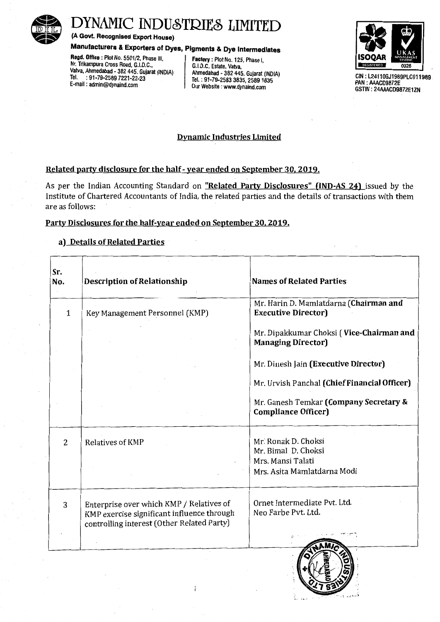

# DYNAMIC INDUSTRIES LIMITED<br>
(A Govt. Recognised Export House)<br>
Manufacturers & Exporters of Dyes, Pigments & Dye Intermediates<br>
Regd. Office : Plot No. 5501/2, Phase III,<br>
Nr. Trikampura Cross Road, G.I.D.C.,<br>
G.I.D.C. Est

(A Govt. Recognised Export House)

## Manufacturers & Exporters of Dyes, Pigments & Dye Intermediates

Regd. Office : Plot No. 5501/2, Phase III, Nr. Trikampura Cross Road, G.I.D.C.,<br>Vatva, Ahmedabad - 382 445. Gujarat (INDIA) Ahmedabad - 382 445. Gujarat (INDIA) Vatva, Ahmedabad - 382 445. Gujarat (INDIA)<br>Tel. : 91-79-2589 7221-22-23 Tel. : 91-79-2589 7221-22-23<br>
E-mail: admin@dynaind.com **Durely Pressure Contract Community** Our Website : www.dynaind.com

Our Website : www.dynaind.com



CIN: L24110GJ1989PLC011989 PAN : AAACD9872E GSTIN : 24AAACD9872E1ZN

#### Dynamic Industries Limited

#### Related party disclosure for the half- year ended on September 30, 2019.

As per the Indian Accounting Standard on "Related Party Disclosures" (IND-AS 24) issued by the Institute of Chartered Accountants of India, the related parties and the details of transactions with them are as follows:

#### Party Disclosures for the half-year ended on September 30, 2019.

#### a) Details of Related Parties

| Sr.<br>No.     | <b>Description of Relationship</b>                                                                                                   | <b>Names of Related Parties</b>                                                                |  |  |  |
|----------------|--------------------------------------------------------------------------------------------------------------------------------------|------------------------------------------------------------------------------------------------|--|--|--|
| 1              | Key Management Personnel (KMP)                                                                                                       | Mr. Harin D. Mamlatdarna (Chairman and<br><b>Executive Director)</b>                           |  |  |  |
|                |                                                                                                                                      | Mr. Dipakkumar Choksi (Vice-Chairman and<br><b>Managing Director)</b>                          |  |  |  |
|                |                                                                                                                                      | Mr. Dinesh Jain (Executive Director)                                                           |  |  |  |
|                |                                                                                                                                      | Mr. Urvish Panchal (Chief Financial Officer)                                                   |  |  |  |
|                |                                                                                                                                      | Mr. Ganesh Temkar (Company Secretary &<br><b>Compliance Officer)</b>                           |  |  |  |
| $\overline{2}$ | <b>Relatives of KMP</b>                                                                                                              | Mr. Ronak D. Choksi<br>Mr. Bimal D. Choksi<br>Mrs. Mansi Talati<br>Mrs. Asita Mamlatdarna Modi |  |  |  |
|                |                                                                                                                                      |                                                                                                |  |  |  |
| 3              | Enterprise over which KMP / Relatives of<br>KMP exercise significant influence through<br>controlling interest (Other Related Party) | Ornet Intermediate Pvt. Ltd.<br>Neo Farbe Pvt. Ltd.                                            |  |  |  |
|                |                                                                                                                                      |                                                                                                |  |  |  |

 $\tilde{\phantom{a}}$  .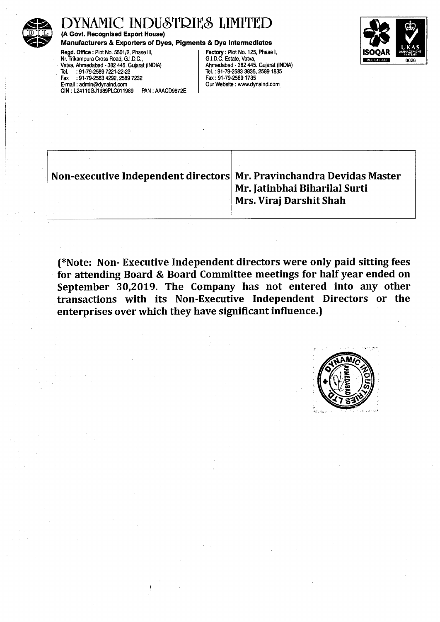

# DYNAMIC INDUSTRIES LIMITED

#### Manufacturers & Exporters of Dyes, Pigments & Dye Intermediates

Regd. Office : Plot No. 5501/2, Phase Ill, Nr. Trikampura Cross Road, G.I.D.C., Vatva, Ahmedabad - 382 445. Gujarat (INDIA) Tel. : 91-79-2589 7221-22-23 Fax :91-79-2583 4292,2589 7232 E-mail : admin@dynaind.com CIN : L2411 OGJ1989PLC011989 PAN : AAACD9872E Factory : Plot No. 125, Phase I, G.I.D.C. Estate, Vatva, Ahmedabad - 382 445. Gujarat (INDIA) Tel.: 91-79-2583 3835,25891835 Fax: 91-79-25891735 Our Website : www.dynaind.com



| Non-executive Independent directors Mr. Pravinchandra Devidas Master | Mr. Jatinbhai Biharilal Surti<br>Mrs. Viraj Darshit Shah |
|----------------------------------------------------------------------|----------------------------------------------------------|
|                                                                      |                                                          |

(\*Note: Non- Executive Independent directors were only paid sitting fees for attending Board & Board Committee meetings for half year ended on September 30,2019. The Company has not entered into any other transactions with its Non-Executive Independent Directors or the enterprises over which they have significant influence.)

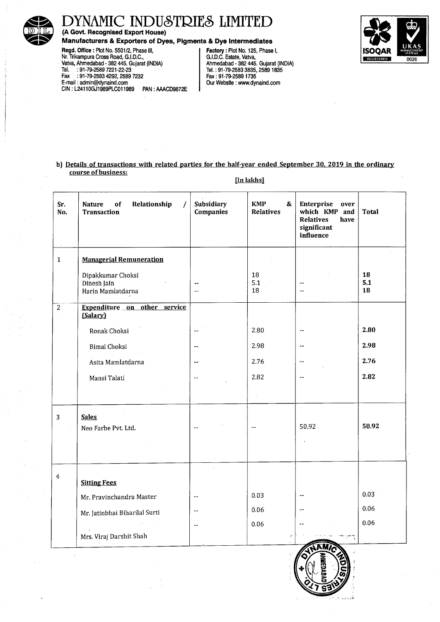

 $\cdot$ 

# DYNAMIC INDUSTRIES LIMITED

(A Govt. Recognised Export House)

#### Manufacturers & Exporters of Dyes, Pigments & Dye Intermediates

Regd. Office: Plot No. 5501/2, Phase Ill, Nr. Trikampura Cross Road, G.I.D.C., · ValVa, Ahmedabad - 382 445. Gujarat (INDIA) Tel. :91-79-2589 7221-22-23 Fax :91-79-2583 4292,2589 7232 E-mail : admin@dynaind.com CIN : L2411 OGJ1989PLC011989 PAN : AAACD9872E

Factory: Plot No. 125, Phase I, G.I.D.C. Estate, Valva, Ahmedabad - 382 445. Gujarat (INDIA) Tel.: 91-79-2583 3835,25891835 Fax: 91-79-25891735 Our Website : www.dynaind.com



#### b) Details of transactions with related parties for the half-year ended September 30, 2019 in the ordinary course of business:

| Sr.<br>No.     | Relationship<br>Nature<br>of<br><b>Transaction</b>    | Subsidiary<br><b>Companies</b> | <b>KMP</b><br>&<br><b>Relatives</b> | Enterprise<br>over<br>which KMP and<br><b>Relatives</b><br>have<br>significant<br>influence | Total           |
|----------------|-------------------------------------------------------|--------------------------------|-------------------------------------|---------------------------------------------------------------------------------------------|-----------------|
|                |                                                       |                                |                                     |                                                                                             |                 |
| $\mathbf{1}$   | <b>Managerial Remuneration</b>                        |                                |                                     |                                                                                             |                 |
|                | Dipakkumar Choksi<br>Dinesh Jain<br>Harin Mamlatdarna | $\overline{a}$                 | 18<br>5.1<br>18                     | $\sim$                                                                                      | 18<br>5.1<br>18 |
| $\overline{2}$ | Expenditure on other service<br>(Salary)              |                                |                                     |                                                                                             |                 |
|                | Ronak Choksi                                          |                                | 2.80                                | $\overline{\phantom{a}}$                                                                    | 2.80            |
|                | <b>Bimal Choksi</b>                                   | $\rightarrow$                  | 2.98                                | $-$                                                                                         | 2.98            |
|                | Asita Mamlatdarna                                     | $\overline{\phantom{a}}$       | 2.76                                | $\overline{\phantom{a}}$                                                                    | 2.76            |
|                | Mansi Talati                                          | $\sim$                         | 2.82                                | $\sim$ $\sim$                                                                               | 2.82            |
|                |                                                       |                                |                                     |                                                                                             |                 |
| $\overline{3}$ | <b>Sales</b><br>Neo Farbe Pvt. Ltd.                   |                                |                                     | 50.92                                                                                       | 50.92           |
|                |                                                       |                                |                                     |                                                                                             |                 |
|                |                                                       |                                |                                     |                                                                                             |                 |
| 4              | <b>Sitting Fees</b>                                   |                                |                                     |                                                                                             |                 |
|                | Mr. Pravinchandra Master                              |                                | 0.03                                |                                                                                             | 0.03            |
|                | Mr. Jatinbhai Biharilal Surti                         | $-$                            | 0.06                                |                                                                                             | 0.06            |
|                |                                                       | $\sim$ $\sim$                  | 0.06                                |                                                                                             | 0.06            |
|                | Mrs. Viraj Darshit Shah                               |                                | $\mathcal{D}$                       |                                                                                             |                 |
|                |                                                       |                                |                                     |                                                                                             |                 |

[In lakhs]